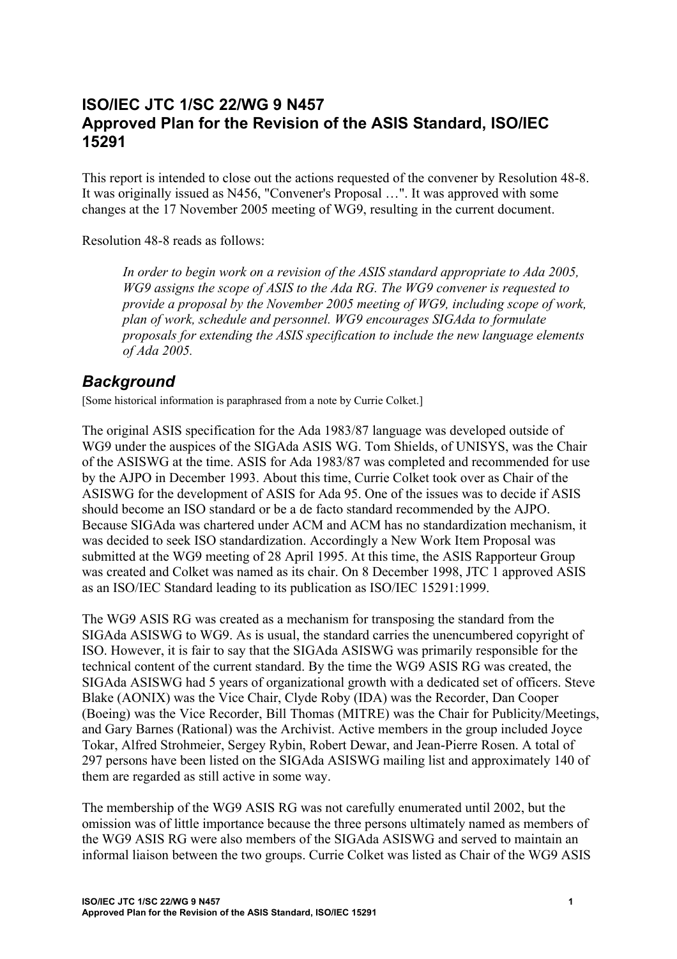#### **ISO/IEC JTC 1/SC 22/WG 9 N457 Approved Plan for the Revision of the ASIS Standard, ISO/IEC 15291**

This report is intended to close out the actions requested of the convener by Resolution 48-8. It was originally issued as N456, "Convener's Proposal …". It was approved with some changes at the 17 November 2005 meeting of WG9, resulting in the current document.

Resolution 48-8 reads as follows:

*In order to begin work on a revision of the ASIS standard appropriate to Ada 2005, WG9 assigns the scope of ASIS to the Ada RG. The WG9 convener is requested to provide a proposal by the November 2005 meeting of WG9, including scope of work, plan of work, schedule and personnel. WG9 encourages SIGAda to formulate proposals for extending the ASIS specification to include the new language elements of Ada 2005.* 

### *Background*

[Some historical information is paraphrased from a note by Currie Colket.]

The original ASIS specification for the Ada 1983/87 language was developed outside of WG9 under the auspices of the SIGAda ASIS WG. Tom Shields, of UNISYS, was the Chair of the ASISWG at the time. ASIS for Ada 1983/87 was completed and recommended for use by the AJPO in December 1993. About this time, Currie Colket took over as Chair of the ASISWG for the development of ASIS for Ada 95. One of the issues was to decide if ASIS should become an ISO standard or be a de facto standard recommended by the AJPO. Because SIGAda was chartered under ACM and ACM has no standardization mechanism, it was decided to seek ISO standardization. Accordingly a New Work Item Proposal was submitted at the WG9 meeting of 28 April 1995. At this time, the ASIS Rapporteur Group was created and Colket was named as its chair. On 8 December 1998, JTC 1 approved ASIS as an ISO/IEC Standard leading to its publication as ISO/IEC 15291:1999.

The WG9 ASIS RG was created as a mechanism for transposing the standard from the SIGAda ASISWG to WG9. As is usual, the standard carries the unencumbered copyright of ISO. However, it is fair to say that the SIGAda ASISWG was primarily responsible for the technical content of the current standard. By the time the WG9 ASIS RG was created, the SIGAda ASISWG had 5 years of organizational growth with a dedicated set of officers. Steve Blake (AONIX) was the Vice Chair, Clyde Roby (IDA) was the Recorder, Dan Cooper (Boeing) was the Vice Recorder, Bill Thomas (MITRE) was the Chair for Publicity/Meetings, and Gary Barnes (Rational) was the Archivist. Active members in the group included Joyce Tokar, Alfred Strohmeier, Sergey Rybin, Robert Dewar, and Jean-Pierre Rosen. A total of 297 persons have been listed on the SIGAda ASISWG mailing list and approximately 140 of them are regarded as still active in some way.

The membership of the WG9 ASIS RG was not carefully enumerated until 2002, but the omission was of little importance because the three persons ultimately named as members of the WG9 ASIS RG were also members of the SIGAda ASISWG and served to maintain an informal liaison between the two groups. Currie Colket was listed as Chair of the WG9 ASIS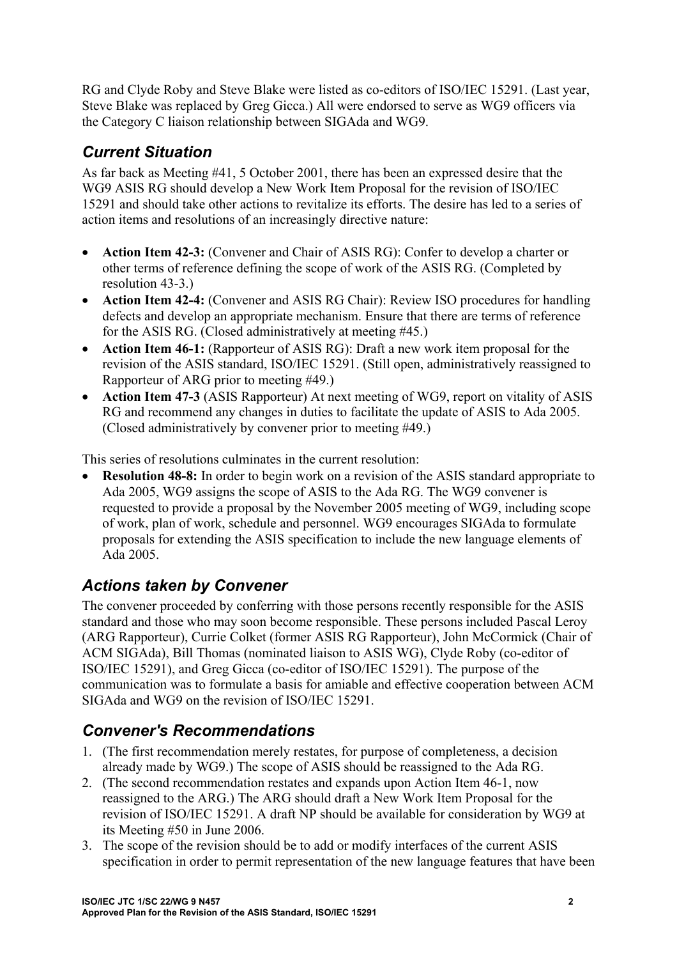RG and Clyde Roby and Steve Blake were listed as co-editors of ISO/IEC 15291. (Last year, Steve Blake was replaced by Greg Gicca.) All were endorsed to serve as WG9 officers via the Category C liaison relationship between SIGAda and WG9.

# *Current Situation*

As far back as Meeting #41, 5 October 2001, there has been an expressed desire that the WG9 ASIS RG should develop a New Work Item Proposal for the revision of ISO/IEC 15291 and should take other actions to revitalize its efforts. The desire has led to a series of action items and resolutions of an increasingly directive nature:

- **Action Item 42-3:** (Convener and Chair of ASIS RG): Confer to develop a charter or other terms of reference defining the scope of work of the ASIS RG. (Completed by resolution 43-3.)
- **Action Item 42-4:** (Convener and ASIS RG Chair): Review ISO procedures for handling defects and develop an appropriate mechanism. Ensure that there are terms of reference for the ASIS RG. (Closed administratively at meeting #45.)
- **Action Item 46-1:** (Rapporteur of ASIS RG): Draft a new work item proposal for the revision of the ASIS standard, ISO/IEC 15291. (Still open, administratively reassigned to Rapporteur of ARG prior to meeting #49.)
- **Action Item 47-3** (ASIS Rapporteur) At next meeting of WG9, report on vitality of ASIS RG and recommend any changes in duties to facilitate the update of ASIS to Ada 2005. (Closed administratively by convener prior to meeting #49.)

This series of resolutions culminates in the current resolution:

**Resolution 48-8:** In order to begin work on a revision of the ASIS standard appropriate to Ada 2005, WG9 assigns the scope of ASIS to the Ada RG. The WG9 convener is requested to provide a proposal by the November 2005 meeting of WG9, including scope of work, plan of work, schedule and personnel. WG9 encourages SIGAda to formulate proposals for extending the ASIS specification to include the new language elements of Ada 2005.

## *Actions taken by Convener*

The convener proceeded by conferring with those persons recently responsible for the ASIS standard and those who may soon become responsible. These persons included Pascal Leroy (ARG Rapporteur), Currie Colket (former ASIS RG Rapporteur), John McCormick (Chair of ACM SIGAda), Bill Thomas (nominated liaison to ASIS WG), Clyde Roby (co-editor of ISO/IEC 15291), and Greg Gicca (co-editor of ISO/IEC 15291). The purpose of the communication was to formulate a basis for amiable and effective cooperation between ACM SIGAda and WG9 on the revision of ISO/IEC 15291.

## *Convener's Recommendations*

- 1. (The first recommendation merely restates, for purpose of completeness, a decision already made by WG9.) The scope of ASIS should be reassigned to the Ada RG.
- 2. (The second recommendation restates and expands upon Action Item 46-1, now reassigned to the ARG.) The ARG should draft a New Work Item Proposal for the revision of ISO/IEC 15291. A draft NP should be available for consideration by WG9 at its Meeting #50 in June 2006.
- 3. The scope of the revision should be to add or modify interfaces of the current ASIS specification in order to permit representation of the new language features that have been